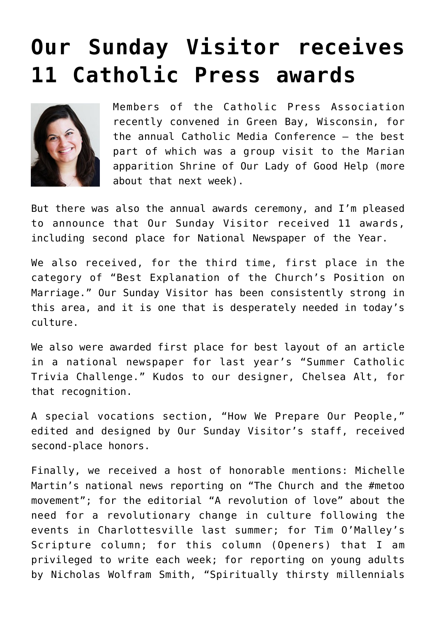## **[Our Sunday Visitor receives](https://www.osvnews.com/2018/07/01/osv-newsweekly-receives-11-catholic-press-awards/) [11 Catholic Press awards](https://www.osvnews.com/2018/07/01/osv-newsweekly-receives-11-catholic-press-awards/)**



Members of the Catholic Press Association recently convened in Green Bay, Wisconsin, for the annual Catholic Media Conference — the best part of which was a group visit to the Marian apparition Shrine of Our Lady of Good Help (more about that next week).

But there was also the annual awards ceremony, and I'm pleased to announce that Our Sunday Visitor received 11 awards, including second place for National Newspaper of the Year.

We also received, for the third time, first place in the category of "Best Explanation of the Church's Position on Marriage." Our Sunday Visitor has been consistently strong in this area, and it is one that is desperately needed in today's culture.

We also were awarded first place for best layout of an article in a national newspaper for last year's "Summer Catholic Trivia Challenge." Kudos to our designer, Chelsea Alt, for that recognition.

A special vocations section, "How We Prepare Our People," edited and designed by Our Sunday Visitor's staff, received second-place honors.

Finally, we received a host of honorable mentions: Michelle Martin's national news reporting on "The Church and the #metoo movement"; for the editorial "A revolution of love" about the need for a revolutionary change in culture following the events in Charlottesville last summer; for Tim O'Malley's Scripture column; for this column (Openers) that I am privileged to write each week; for reporting on young adults by Nicholas Wolfram Smith, "Spiritually thirsty millennials